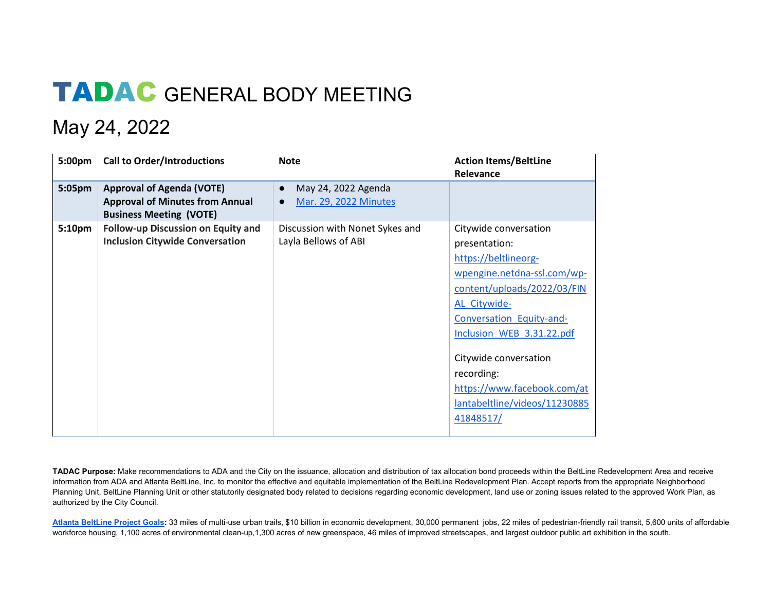## TADAC GENERAL BODY MEETING

## May 24, 2022

| 5:00pm | <b>Call to Order/Introductions</b>                                                                           | <b>Note</b>                                                                   | <b>Action Items/BeltLine</b><br>Relevance                                                                                                                                                                                                                                                                                 |
|--------|--------------------------------------------------------------------------------------------------------------|-------------------------------------------------------------------------------|---------------------------------------------------------------------------------------------------------------------------------------------------------------------------------------------------------------------------------------------------------------------------------------------------------------------------|
| 5:05pm | <b>Approval of Agenda (VOTE)</b><br><b>Approval of Minutes from Annual</b><br><b>Business Meeting (VOTE)</b> | May 24, 2022 Agenda<br>$\bullet$<br><b>Mar. 29, 2022 Minutes</b><br>$\bullet$ |                                                                                                                                                                                                                                                                                                                           |
| 5:10pm | Follow-up Discussion on Equity and<br><b>Inclusion Citywide Conversation</b>                                 | Discussion with Nonet Sykes and<br>Layla Bellows of ABI                       | Citywide conversation<br>presentation:<br>https://beltlineorg-<br>wpengine.netdna-ssl.com/wp-<br>content/uploads/2022/03/FIN<br>AL_Citywide-<br>Conversation Equity-and-<br>Inclusion WEB 3.31.22.pdf<br>Citywide conversation<br>recording:<br>https://www.facebook.com/at<br>lantabeltline/videos/11230885<br>41848517/ |

**TADAC Purpose:** Make recommendations to ADA and the City on the issuance, allocation and distribution of tax allocation bond proceeds within the BeltLine Redevelopment Area and receive information from ADA and Atlanta BeltLine, Inc. to monitor the effective and equitable implementation of the BeltLine Redevelopment Plan. Accept reports from the appropriate Neighborhood Planning Unit, BeltLine Planning Unit or other statutorily designated body related to decisions regarding economic development, land use or zoning issues related to the approved Work Plan, as authorized by the City Council.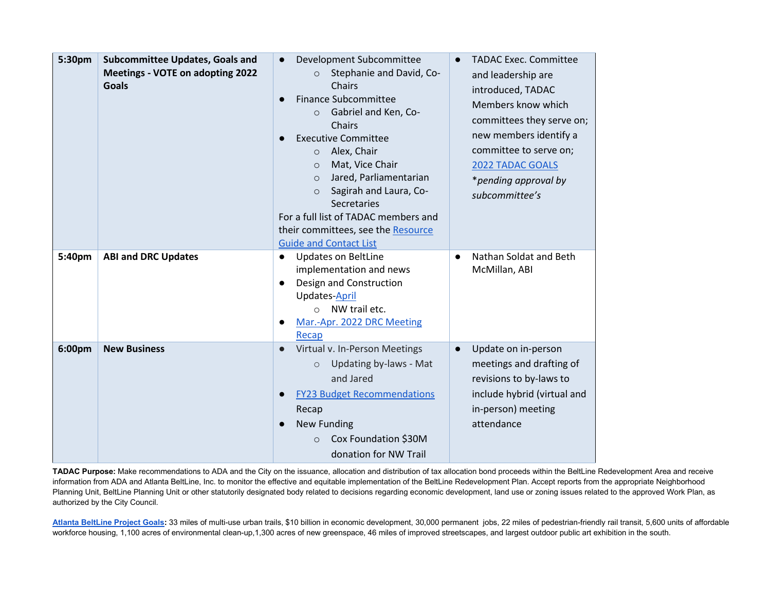| 5:30pm | <b>Subcommittee Updates, Goals and</b><br>Meetings - VOTE on adopting 2022<br><b>Goals</b> | Development Subcommittee<br>Stephanie and David, Co-<br>$\circ$<br>Chairs<br><b>Finance Subcommittee</b><br>$\bullet$<br>Gabriel and Ken, Co-<br>$\circ$<br>Chairs<br><b>Executive Committee</b><br>Alex, Chair<br>$\circ$<br>Mat, Vice Chair<br>$\circ$<br>Jared, Parliamentarian<br>$\Omega$<br>Sagirah and Laura, Co-<br>$\Omega$<br>Secretaries<br>For a full list of TADAC members and<br>their committees, see the Resource<br><b>Guide and Contact List</b> | <b>TADAC Exec. Committee</b><br>and leadership are<br>introduced, TADAC<br>Members know which<br>committees they serve on;<br>new members identify a<br>committee to serve on;<br><b>2022 TADAC GOALS</b><br>*pending approval by<br>subcommittee's |
|--------|--------------------------------------------------------------------------------------------|--------------------------------------------------------------------------------------------------------------------------------------------------------------------------------------------------------------------------------------------------------------------------------------------------------------------------------------------------------------------------------------------------------------------------------------------------------------------|-----------------------------------------------------------------------------------------------------------------------------------------------------------------------------------------------------------------------------------------------------|
| 5:40pm | <b>ABI and DRC Updates</b>                                                                 | <b>Updates on BeltLine</b><br>$\bullet$<br>implementation and news<br>Design and Construction<br>$\bullet$<br>Updates-April<br>NW trail etc.<br>$\bigcap$<br>Mar.-Apr. 2022 DRC Meeting<br>Recap                                                                                                                                                                                                                                                                   | Nathan Soldat and Beth<br>McMillan, ABI                                                                                                                                                                                                             |
| 6:00pm | <b>New Business</b>                                                                        | Virtual v. In-Person Meetings<br>$\bullet$<br>Updating by-laws - Mat<br>$\circ$<br>and Jared<br><b>FY23 Budget Recommendations</b><br>$\bullet$<br>Recap<br><b>New Funding</b><br>$\bullet$<br>Cox Foundation \$30M<br>$\circ$<br>donation for NW Trail                                                                                                                                                                                                            | Update on in-person<br>$\bullet$<br>meetings and drafting of<br>revisions to by-laws to<br>include hybrid (virtual and<br>in-person) meeting<br>attendance                                                                                          |

**TADAC Purpose:** Make recommendations to ADA and the City on the issuance, allocation and distribution of tax allocation bond proceeds within the BeltLine Redevelopment Area and receive information from ADA and Atlanta BeltLine, Inc. to monitor the effective and equitable implementation of the BeltLine Redevelopment Plan. Accept reports from the appropriate Neighborhood Planning Unit, BeltLine Planning Unit or other statutorily designated body related to decisions regarding economic development, land use or zoning issues related to the approved Work Plan, as authorized by the City Council.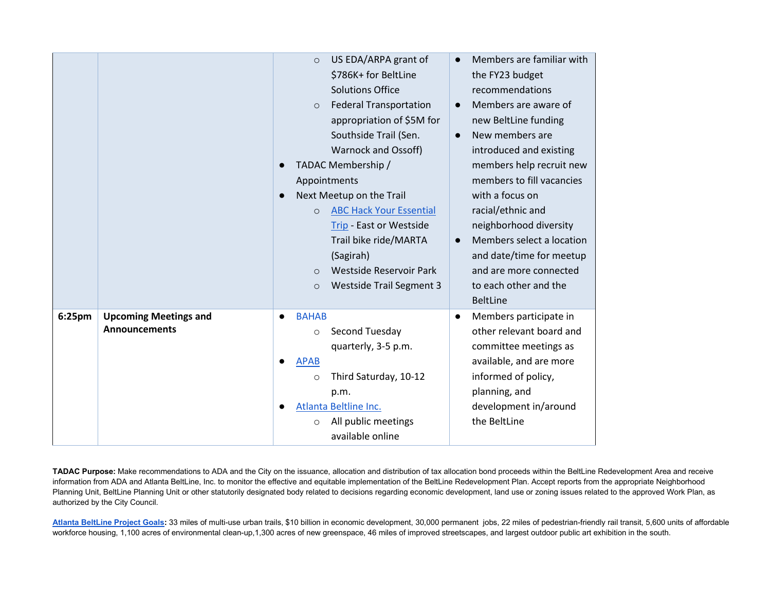|        |                                                      | US EDA/ARPA grant of<br>$\circ$<br>\$786K+ for BeltLine<br><b>Solutions Office</b><br><b>Federal Transportation</b><br>$\circ$<br>appropriation of \$5M for<br>Southside Trail (Sen.<br>Warnock and Ossoff)<br>TADAC Membership /<br>Appointments<br>Next Meetup on the Trail<br>$\bullet$<br><b>ABC Hack Your Essential</b><br>$\circ$<br>Trip - East or Westside<br>Trail bike ride/MARTA<br>(Sagirah)<br>Westside Reservoir Park<br>$\Omega$ | Members are familiar with<br>the FY23 budget<br>recommendations<br>Members are aware of<br>$\bullet$<br>new BeltLine funding<br>New members are<br>$\bullet$<br>introduced and existing<br>members help recruit new<br>members to fill vacancies<br>with a focus on<br>racial/ethnic and<br>neighborhood diversity<br>Members select a location<br>$\bullet$<br>and date/time for meetup<br>and are more connected |
|--------|------------------------------------------------------|-------------------------------------------------------------------------------------------------------------------------------------------------------------------------------------------------------------------------------------------------------------------------------------------------------------------------------------------------------------------------------------------------------------------------------------------------|--------------------------------------------------------------------------------------------------------------------------------------------------------------------------------------------------------------------------------------------------------------------------------------------------------------------------------------------------------------------------------------------------------------------|
|        |                                                      | <b>Westside Trail Segment 3</b>                                                                                                                                                                                                                                                                                                                                                                                                                 | <b>BeltLine</b>                                                                                                                                                                                                                                                                                                                                                                                                    |
| 6:25pm | <b>Upcoming Meetings and</b><br><b>Announcements</b> | <b>BAHAB</b><br>$\bullet$<br>Second Tuesday<br>$\circ$<br>quarterly, 3-5 p.m.<br><b>APAB</b><br>Third Saturday, 10-12<br>$\circ$<br>p.m.<br>Atlanta Beltline Inc.<br>All public meetings<br>$\circ$<br>available online                                                                                                                                                                                                                         | Members participate in<br>$\bullet$<br>other relevant board and<br>committee meetings as<br>available, and are more<br>informed of policy,<br>planning, and<br>development in/around<br>the BeltLine                                                                                                                                                                                                               |

**TADAC Purpose:** Make recommendations to ADA and the City on the issuance, allocation and distribution of tax allocation bond proceeds within the BeltLine Redevelopment Area and receive information from ADA and Atlanta BeltLine, Inc. to monitor the effective and equitable implementation of the BeltLine Redevelopment Plan. Accept reports from the appropriate Neighborhood Planning Unit, BeltLine Planning Unit or other statutorily designated body related to decisions regarding economic development, land use or zoning issues related to the approved Work Plan, as authorized by the City Council.